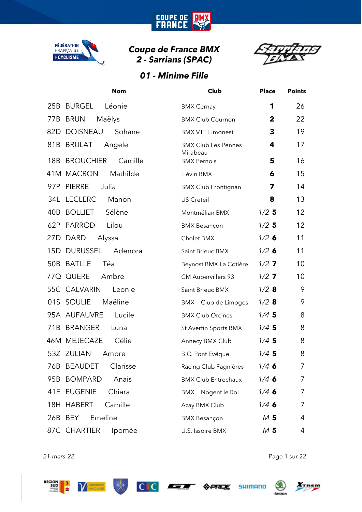

**COUPE DE<br>FRANCE** 

**BM** 



# *01 - Minime Fille*

|     | <b>Nom</b>                  | Club                           | <b>Place</b>   | <b>Points</b> |
|-----|-----------------------------|--------------------------------|----------------|---------------|
| 25B | <b>BURGEL</b><br>Léonie     | <b>BMX Cernay</b>              | 1              | 26            |
| 77B | Maëlys<br><b>BRUN</b>       | <b>BMX Club Cournon</b>        | $\mathbf{2}$   | 22            |
| 82D | <b>DOISNEAU</b><br>Sohane   | <b>BMX VTT Limonest</b>        | 3              | 19            |
| 81B | <b>BRULAT</b><br>Angele     | <b>BMX Club Les Pennes</b>     | 4              | 17            |
| 18B | <b>BROUCHIER</b><br>Camille | Mirabeau<br><b>BMX Pernois</b> | 5              | 16            |
|     | 41M MACRON<br>Mathilde      | Liévin BMX                     | 6              | 15            |
| 97P | <b>PIERRE</b><br>Julia      | <b>BMX Club Frontignan</b>     | 7              | 14            |
| 34L | <b>LECLERC</b><br>Manon     | <b>US Creteil</b>              | 8              | 13            |
| 40B | <b>BOLLIET</b><br>Sélène    | Montmélian BMX                 | $1/2$ 5        | 12            |
| 62P | <b>PARROD</b><br>Lilou      | <b>BMX Besançon</b>            | $1/2$ 5        | 12            |
| 27D | <b>DARD</b><br>Alyssa       | Cholet BMX                     | $1/2$ 6        | 11            |
| 15D | <b>DURUSSEL</b><br>Adenora  | Saint Brieuc BMX               | $1/2$ 6        | 11            |
| 50B | <b>BATLLE</b><br>Téa        | Beynost BMX La Cotière         | $1/2$ 7        | 10            |
|     | 77Q QUERE<br>Ambre          | <b>CM Aubervillers 93</b>      | $1/2$ 7        | 10            |
|     | 55C CALVARIN<br>Leonie      | Saint Brieuc BMX               | $1/2$ 8        | 9             |
|     | 01S SOULIE<br>Maëline       | BMX Club de Limoges            | $1/2$ 8        | 9             |
|     | 95A AUFAUVRE<br>Lucile      | <b>BMX Club Orcines</b>        | $1/4$ 5        | 8             |
| 71B | <b>BRANGER</b><br>Luna      | St Avertin Sports BMX          | $1/4$ 5        | 8             |
|     | 46M MEJECAZE<br>Célie       | Annecy BMX Club                | $1/4$ 5        | 8             |
|     | 53Z ZULIAN<br>Ambre         | B.C. Pont Evêque               | $1/4$ 5        | 8             |
| 76B | <b>BEAUDET</b><br>Clarisse  | Racing Club Fagnières          | $1/4$ 6        | 7             |
| 95B | <b>BOMPARD</b><br>Anais     | <b>BMX Club Entrechaux</b>     | $1/4$ 6        | 7             |
|     | 41E EUGENIE<br>Chiara       | BMX Nogent le Roi              | $1/4$ 6        | 7             |
|     | 18H HABERT<br>Camille       | Azay BMX Club                  | $1/4$ 6        | 7             |
|     | 26B BEY<br>Emeline          | <b>BMX Besançon</b>            | M <sub>5</sub> | 4             |
|     | 87C CHARTIER<br>Ipomée      | U.S. Issoire BMX               | M <sub>5</sub> | 4             |

*21-mars-22* Page 1 sur 22











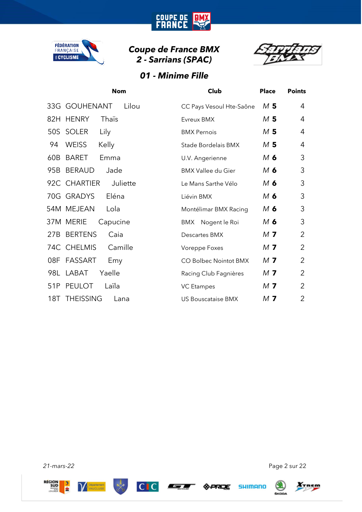

**COUPE DE<br>FRANCE** 

**IBM** 



# *01 - Minime Fille*

|     | <b>Nom</b>               | Club                      | <b>Place</b>   | <b>Points</b>  |
|-----|--------------------------|---------------------------|----------------|----------------|
|     | 33G GOUHENANT<br>Lilou   | CC Pays Vesoul Hte-Saône  | M 5            | 4              |
|     | 82H HENRY<br>Thaïs       | Evreux BMX                | M 5            | 4              |
| 50S | Lily<br>SOLER            | <b>BMX Pernois</b>        | M <sub>5</sub> | 4              |
| 94  | <b>WEISS</b><br>Kelly    | Stade Bordelais BMX       | M <sub>5</sub> | 4              |
| 60B | <b>BARET</b><br>Emma     | U.V. Angerienne           | M 6            | 3              |
| 95B | <b>BERAUD</b><br>Jade    | <b>BMX Vallee du Gier</b> | M 6            | 3              |
|     | 92C CHARTIER<br>Juliette | Le Mans Sarthe Vélo       | M 6            | 3              |
|     | 70G GRADYS<br>Eléna      | Liévin BMX                | M 6            | 3              |
|     | 54M MEJEAN<br>Lola       | Montélimar BMX Racing     | $M$ 6          | 3              |
|     | 37M MERIE<br>Capucine    | Nogent le Roi<br>BMX      | $M$ 6          | 3              |
| 27B | <b>BERTENS</b><br>Caia   | Descartes BMX             | M 7            | $\overline{2}$ |
|     | 74C CHELMIS<br>Camille   | Voreppe Foxes             | M <sub>7</sub> | 2              |
| 08F | FASSART<br>Emy           | CO Bolbec Nointot BMX     | M 7            | 2              |
|     | 98L LABAT<br>Yaelle      | Racing Club Fagnières     | M <sub>7</sub> | 2              |
| 51P | <b>PEULOT</b><br>Laïla   | <b>VC</b> Etampes         | M <sub>7</sub> | 2              |
| 18T | <b>THEISSING</b><br>Lana | US Bouscataise BMX        | M <sub>7</sub> | 2              |

*21-mars-22* Page 2 sur 22











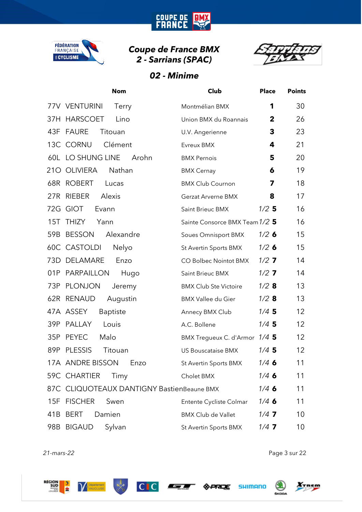

**COUPE DE<br>FRANCE** 

**BM** 



## *02 - Minime*

|     | <b>Nom</b>                                 | Club                           | <b>Place</b> | <b>Points</b>   |
|-----|--------------------------------------------|--------------------------------|--------------|-----------------|
|     | 77V VENTURINI<br>Terry                     | Montmélian BMX                 | 1            | 30              |
|     | 37H HARSCOET<br>Lino                       | Union BMX du Roannais          | $\mathbf{2}$ | 26              |
| 43F | FAURE<br>Titouan                           | U.V. Angerienne                | 3            | 23              |
|     | 13C CORNU<br>Clément                       | Evreux BMX                     | 4            | 21              |
|     | 60L LO SHUNG LINE<br>Arohn                 | <b>BMX Pernois</b>             | 5            | 20              |
|     | 210 OLIVIERA<br>Nathan                     | <b>BMX Cernay</b>              | 6            | 19              |
|     | 68R ROBERT<br>Lucas                        | <b>BMX Club Cournon</b>        | 7            | 18              |
|     | 27R RIEBER<br>Alexis                       | <b>Gerzat Arverne BMX</b>      | 8            | 17              |
|     | 72G GIOT<br>Evann                          | Saint Brieuc BMX               | $1/2$ 5      | 16              |
| 15T | <b>THIZY</b><br>Yann                       | Sainte Consorce BMX Team 1/2 5 |              | 16              |
| 59B | <b>BESSON</b><br>Alexandre                 | Soues Omnisport BMX            | $1/2$ 6      | 15              |
|     | <b>60C CASTOLDI</b><br>Nelyo               | St Avertin Sports BMX          | $1/2$ 6      | 15              |
|     | 73D DELAMARE<br>Enzo                       | CO Bolbec Nointot BMX          | $1/2$ 7      | 14              |
| 01P | PARPAILLON<br>Hugo                         | Saint Brieuc BMX               | $1/2$ 7      | 14              |
| 73P | PLONJON<br>Jeremy                          | <b>BMX Club Ste Victoire</b>   | $1/2$ 8      | 13              |
|     | 62R RENAUD<br>Augustin                     | <b>BMX Vallee du Gier</b>      | $1/2$ 8      | 13              |
|     | 47A ASSEY<br><b>Baptiste</b>               | Annecy BMX Club                | $1/4$ 5      | 12 <sup>2</sup> |
| 39P | PALLAY<br>Louis                            | A.C. Bollene                   | $1/4$ 5      | 12              |
| 35P | <b>PEYEC</b><br>Malo                       | BMX Tregueux C. d'Armor 1/4 5  |              | 12 <sup>2</sup> |
| 89P | <b>PLESSIS</b><br>Titouan                  | <b>US Bouscataise BMX</b>      | $1/4$ 5      | 12              |
|     | 17A ANDRE BISSON Enzo                      | St Avertin Sports BMX          | $1/4$ 6      | 11              |
|     | 59C CHARTIER<br>Timy                       | Cholet BMX                     | 1/46         | 11              |
|     | 87C CLIQUOTEAUX DANTIGNY BastienBeaune BMX |                                | $1/4$ 6      | 11              |
| 15F | <b>FISCHER</b><br>Swen                     | Entente Cycliste Colmar        | $1/4$ 6      | 11              |
| 41B | <b>BERT</b><br>Damien                      | <b>BMX Club de Vallet</b>      | $1/4$ 7      | 10              |
|     | Sylvan<br>98B BIGAUD                       | St Avertin Sports BMX          | $1/4$ 7      | 10              |

*21-mars-22* Page 3 sur 22











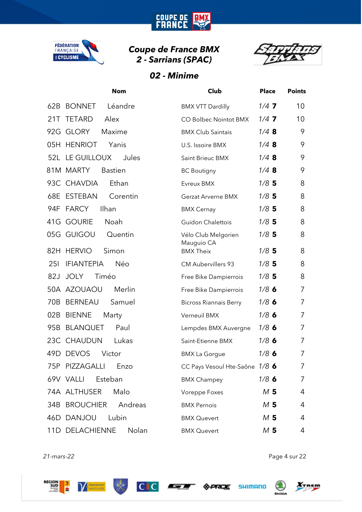

**COUPE DE<br>FRANCE** 

**BM** 



# *02 - Minime*

|                 | <b>Nom</b>                  | Club                              | <b>Place</b>   | <b>Points</b> |
|-----------------|-----------------------------|-----------------------------------|----------------|---------------|
| 62B             | <b>BONNET</b><br>Léandre    | <b>BMX VTT Dardilly</b>           | $1/4$ 7        | 10            |
| 21T             | <b>TETARD</b><br>Alex       | CO Bolbec Nointot BMX             | $1/4$ 7        | 10            |
|                 | 92G GLORY<br>Maxime         | <b>BMX Club Saintais</b>          | 1/48           | 9             |
|                 | 05H HENRIOT<br>Yanis        | U.S. Issoire BMX                  | 1/48           | 9             |
|                 | 52L LE GUILLOUX<br>Jules    | Saint Brieuc BMX                  | 1/48           | 9             |
|                 | 81M MARTY<br><b>Bastien</b> | <b>BC Boutigny</b>                | 1/48           | 9             |
|                 | 93C CHAVDIA<br>Ethan        | Evreux BMX                        | $1/8$ 5        | 8             |
| 68E             | ESTEBAN<br>Corentin         | Gerzat Arverne BMX                | $1/8$ 5        | 8             |
| 94F             | <b>FARCY</b><br>Ilhan       | <b>BMX Cernay</b>                 | $1/8$ 5        | 8             |
| 41G             | <b>GOURIE</b><br>Noah       | <b>Guidon Chalettois</b>          | $1/8$ 5        | 8             |
|                 | 05G GUIGOU<br>Quentin       | Vélo Club Melgorien<br>Mauguio CA | $1/8$ 5        | 8             |
| 82H             | <b>HERVIO</b><br>Simon      | <b>BMX Theix</b>                  | $1/8$ 5        | 8             |
| 251             | <b>IFIANTEPIA</b><br>Néo    | <b>CM Aubervillers 93</b>         | $1/8$ 5        | 8             |
| 82J             | <b>JOLY</b><br>Timéo        | Free Bike Dampierrois             | $1/8$ 5        | 8             |
|                 | 50A AZOUAOU<br>Merlin       | Free Bike Dampierrois             | $1/8$ 6        | 7             |
| 70 <sub>B</sub> | <b>BERNEAU</b><br>Samuel    | <b>Bicross Riannais Berry</b>     | 1/86           | 7             |
| 02B             | <b>BIENNE</b><br>Marty      | Verneuil BMX                      | 1/86           | 7             |
| 95B             | <b>BLANQUET</b><br>Paul     | Lempdes BMX Auvergne              | 1/86           | 7             |
|                 | 23C CHAUDUN<br>Lukas        | Saint-Etienne BMX                 | $1/8$ 6        | 7             |
| 49D             | <b>DEVOS</b><br>Victor      | <b>BMX La Gorgue</b>              | $1/8$ 6        | 7             |
|                 | 75P PIZZAGALLI<br>Enzo      | CC Pays Vesoul Hte-Saône 1/8 6    |                | 7             |
|                 | 69V VALLI<br>Esteban        | <b>BMX Champey</b>                | $1/8$ 6        | 7             |
|                 | 74A ALTHUSER<br>Malo        | Voreppe Foxes                     | M <sub>5</sub> | 4             |
|                 | 34B BROUCHIER<br>Andreas    | <b>BMX Pernois</b>                | M <sub>5</sub> | 4             |
|                 | 46D DANJOU<br>Lubin         | <b>BMX Quevert</b>                | M <sub>5</sub> | 4             |
|                 | 11D DELACHIENNE<br>Nolan    | <b>BMX Quevert</b>                | M <sub>5</sub> | 4             |













*21-mars-22* Page 4 sur 22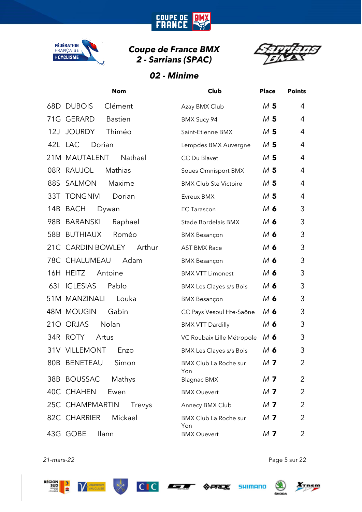

**COUPE DE<br>FRANCE** 



#### *02 - Minime*

|     | <b>Nom</b>                   | Club                                | <b>Place</b>   | <b>Points</b>  |
|-----|------------------------------|-------------------------------------|----------------|----------------|
|     | <b>68D DUBOIS</b><br>Clément | Azay BMX Club                       | M <sub>5</sub> | 4              |
|     | 71G GERARD<br><b>Bastien</b> | BMX Sucy 94                         | M <sub>5</sub> | 4              |
| 12J | <b>JOURDY</b><br>Thiméo      | Saint-Etienne BMX                   | M <sub>5</sub> | 4              |
|     | 42L LAC<br>Dorian            | Lempdes BMX Auvergne                | M <sub>5</sub> | 4              |
|     | 21M MAUTALENT<br>Nathael     | <b>CC Du Blavet</b>                 | M <sub>5</sub> | 4              |
|     | 08R RAUJOL<br>Mathias        | <b>Soues Omnisport BMX</b>          | M <sub>5</sub> | 4              |
| 88S | SALMON<br>Maxime             | <b>BMX Club Ste Victoire</b>        | M <sub>5</sub> | 4              |
|     | 33T TONGNIVI<br>Dorian       | Evreux BMX                          | M <sub>5</sub> | 4              |
| 14B | BACH<br>Dywan                | <b>EC Tarascon</b>                  | $M$ 6          | 3              |
| 98B | <b>BARANSKI</b><br>Raphael   | Stade Bordelais BMX                 | $M$ 6          | 3              |
| 58B | BUTHIAUX<br>Roméo            | <b>BMX Besançon</b>                 | $M$ 6          | 3              |
|     | 21C CARDIN BOWLEY<br>Arthur  | <b>AST BMX Race</b>                 | $M$ 6          | 3              |
|     | 78C CHALUMEAU<br>Adam        | <b>BMX Besançon</b>                 | $M$ 6          | 3              |
|     | 16H HEITZ<br>Antoine         | <b>BMX VTT Limonest</b>             | $M$ 6          | 3              |
| 631 | <b>IGLESIAS</b><br>Pablo     | <b>BMX Les Clayes s/s Bois</b>      | $M$ 6          | 3              |
|     | 51M MANZINALI<br>Louka       | <b>BMX Besançon</b>                 | $M$ 6          | 3              |
|     | 48M MOUGIN<br>Gabin          | CC Pays Vesoul Hte-Saône            | $M$ 6          | 3              |
|     | 210 ORJAS<br>Nolan           | <b>BMX VTT Dardilly</b>             | $M$ 6          | 3              |
|     | 34R ROTY<br>Artus            | VC Roubaix Lille Métropole          | $M$ 6          | 3              |
|     | 31V VILLEMONT<br>Enzo        | <b>BMX Les Clayes s/s Bois</b>      | M 6            | 3              |
|     | 80B BENETEAU<br>Simon        | <b>BMX Club La Roche sur</b><br>Yon | M <sub>7</sub> | 2              |
|     | 38B BOUSSAC<br>Mathys        | <b>Blagnac BMX</b>                  | M <sub>7</sub> | 2              |
|     | 40C CHAHEN<br>Ewen           | <b>BMX Quevert</b>                  | M <sub>7</sub> | 2              |
|     | 25C CHAMPMARTIN<br>Trevys    | Annecy BMX Club                     | M <sub>7</sub> | 2              |
|     | 82C CHARRIER<br>Mickael      | BMX Club La Roche sur<br>Yon        | M 7            | 2              |
|     | 43G GOBE<br><b>Ilann</b>     | <b>BMX Quevert</b>                  | M <sub>7</sub> | $\overline{2}$ |

*21-mars-22* Page 5 sur 22











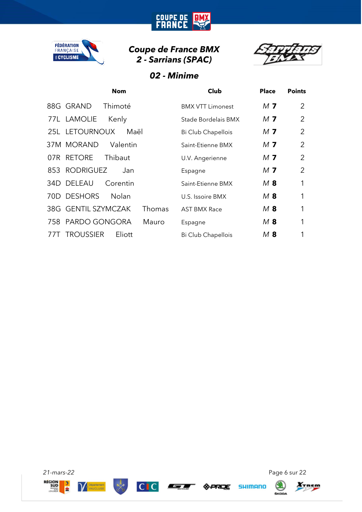

**COUPE DE<br>FRANCE** 

**BM** 



#### *02 - Minime*

|                      | <b>Nom</b>   |        | Club                    | <b>Place</b>   | <b>Points</b>  |
|----------------------|--------------|--------|-------------------------|----------------|----------------|
| 88G GRAND            | Thimoté      |        | <b>BMX VTT Limonest</b> | M <sub>7</sub> | 2              |
| <b>77L LAMOLIE</b>   | Kenly        |        | Stade Bordelais BMX     | M 7            | 2              |
| 25L LETOURNOUX       | Maël         |        | Bi Club Chapellois      | M 7            | $\overline{2}$ |
| 37M MORAND           | Valentin     |        | Saint-Etienne BMX       | M <sub>7</sub> | $\overline{2}$ |
| 07R RETORE           | Thibaut      |        | U.V. Angerienne         | M <sub>7</sub> | 2              |
| 853 RODRIGUEZ        | Jan          |        | Espagne                 | M <sub>7</sub> | 2              |
| 34D DELEAU           | Corentin     |        | Saint-Etienne BMX       | $M$ 8          | 1              |
| 70D DESHORS          | <b>Nolan</b> |        | U.S. Issoire BMX        | $M$ 8          | 1              |
| 38G GENTIL SZYMCZAK  |              | Thomas | <b>AST BMX Race</b>     | $M$ 8          | 1              |
| 758 PARDO GONGORA    |              | Mauro  | Espagne                 | $M$ 8          | 1              |
| <b>77T TROUSSIER</b> | Eliott       |        | Bi Club Chapellois      | $M$ 8          |                |













q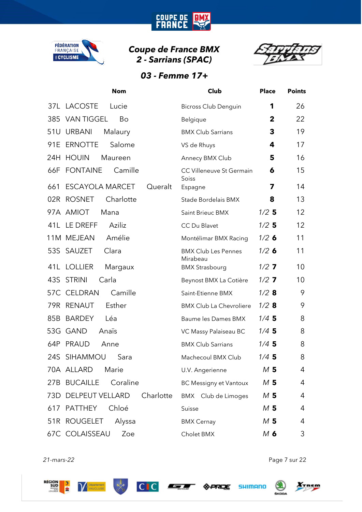

**COUPE DE<br>FRANCE** 

**IBM** 



#### *03 - Femme 17+*

|     | <b>Nom</b>                        | Club                                   | <b>Place</b>   | <b>Points</b> |
|-----|-----------------------------------|----------------------------------------|----------------|---------------|
|     | 37L LACOSTE<br>Lucie              | <b>Bicross Club Denguin</b>            | 1              | 26            |
| 385 | <b>VAN TIGGEL</b><br>Bo           | Belgique                               | $\mathbf{2}$   | 22            |
| 51U | <b>URBANI</b><br>Malaury          | <b>BMX Club Sarrians</b>               | 3              | 19            |
| 91E | <b>ERNOTTE</b><br>Salome          | VS de Rhuys                            | 4              | 17            |
| 24H | <b>HOUIN</b><br>Maureen           | Annecy BMX Club                        | 5              | 16            |
| 66F | <b>FONTAINE</b><br>Camille        | CC Villeneuve St Germain<br>Soiss      | 6              | 15            |
| 661 | <b>ESCAYOLA MARCET</b><br>Queralt | Espagne                                | 7              | 14            |
| 02R | <b>ROSNET</b><br>Charlotte        | Stade Bordelais BMX                    | 8              | 13            |
|     | 97A AMIOT<br>Mana                 | Saint Brieuc BMX                       | $1/2$ 5        | 12            |
|     | 41L LE DREFF<br>Aziliz            | CC Du Blavet                           | $1/2$ 5        | 12            |
|     | 11M MEJEAN<br>Amélie              | Montélimar BMX Racing                  | $1/2$ 6        | 11            |
| 53S | SAUZET<br>Clara                   | <b>BMX Club Les Pennes</b><br>Mirabeau | $1/2$ 6        | 11            |
|     | 41L LOLLIER<br>Margaux            | <b>BMX Strasbourg</b>                  | $1/2$ 7        | 10            |
| 43S | <b>STRINI</b><br>Carla            | Beynost BMX La Cotière                 | $1/2$ 7        | 10            |
|     | 57C CELDRAN<br>Camille            | Saint-Etienne BMX                      | $1/2$ 8        | 9             |
| 79R | RENAUT<br>Esther                  | <b>BMX Club La Chevroliere</b>         | $1/2$ 8        | 9             |
| 85B | <b>BARDEY</b><br>Léa              | Baume les Dames BMX                    | $1/4$ 5        | 8             |
|     | 53G GAND<br>Anaïs                 | VC Massy Palaiseau BC                  | $1/4$ 5        | 8             |
| 64P | <b>PRAUD</b><br>Anne              | <b>BMX Club Sarrians</b>               | $1/4$ 5        | 8             |
|     | 24S SIHAMMOU<br>Sara              | Machecoul BMX Club                     | $1/4$ 5        | 8             |
|     | 70A ALLARD<br>Marie               | U.V. Angerienne                        | M <sub>5</sub> | 4             |
|     | 27B BUCAILLE<br>Coraline          | <b>BC Messigny et Vantoux</b>          | M 5            | 4             |
|     | 73D DELPEUT VELLARD<br>Charlotte  | BMX Club de Limoges                    | M 5            | 4             |
| 617 | <b>PATTHEY</b><br>Chloé           | Suisse                                 | M <sub>5</sub> | 4             |
|     | 51R ROUGELET<br>Alyssa            | <b>BMX Cernay</b>                      | M <sub>5</sub> | 4             |
|     | 67C COLAISSEAU<br>Zoe             | Cholet BMX                             | $M$ 6          | 3             |

*21-mars-22* Page 7 sur 22











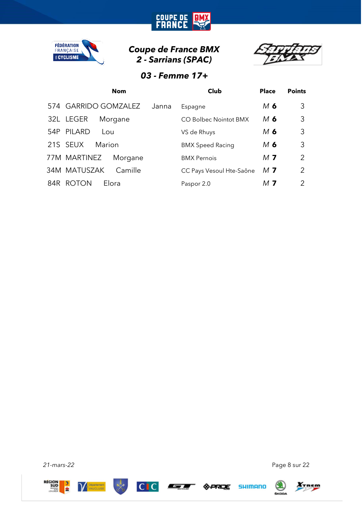





#### *03 - Femme 17+*

|       | <b>Nom</b>              |       | Club                     | <b>Place</b>   | <b>Points</b> |
|-------|-------------------------|-------|--------------------------|----------------|---------------|
|       | 574 GARRIDO GOMZALEZ    | Janna | Espagne                  | M 6            | 3             |
|       | 32L LEGER<br>Morgane    |       | CO Bolbec Nointot BMX    | M 6            | 3             |
| 54P   | PILARD<br>Lou           |       | VS de Rhuys              | M 6            | 3             |
|       | 21S SEUX<br>Marion      |       | <b>BMX Speed Racing</b>  | M 6            | 3             |
|       | 77M MARTINEZ<br>Morgane |       | <b>BMX Pernois</b>       | M <sub>7</sub> | 2             |
|       | 34M MATUSZAK<br>Camille |       | CC Pays Vesoul Hte-Saône | M <sub>7</sub> | 2             |
| 84R l | Elora<br><b>ROTON</b>   |       | Paspor 2.0               | M 7            | 2             |

*21-mars-22* Page 8 sur 22













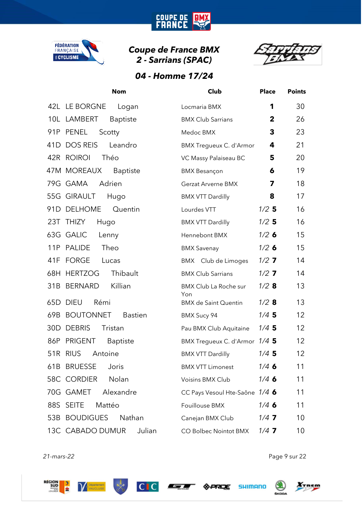

**COUPE DE<br>FRANCE** 

**BM** 



## *04 - Homme 17/24*

|                 | <b>Nom</b>                         | Club                               | <b>Place</b> | <b>Points</b>     |
|-----------------|------------------------------------|------------------------------------|--------------|-------------------|
|                 | 42L LE BORGNE<br>Logan             | Locmaria BMX                       | 1            | 30                |
|                 | 10L LAMBERT<br><b>Baptiste</b>     | <b>BMX Club Sarrians</b>           | $\mathbf{2}$ | 26                |
| 91P             | PENEL<br>Scotty                    | Medoc BMX                          | 3            | 23                |
| 41D             | <b>DOS REIS</b><br>Leandro         | <b>BMX Tregueux C. d'Armor</b>     | 4            | 21                |
|                 | 42R ROIROI<br>Théo                 | VC Massy Palaiseau BC              | 5            | 20                |
|                 | 47M MOREAUX<br><b>Baptiste</b>     | <b>BMX Besançon</b>                | 6            | 19                |
|                 | 79G GAMA<br>Adrien                 | <b>Gerzat Arverne BMX</b>          | 7            | 18                |
|                 | 55G GIRAULT<br>Hugo                | <b>BMX VTT Dardilly</b>            | 8            | 17                |
| 91D             | <b>DELHOME</b><br>Quentin          | Lourdes VTT                        | $1/2$ 5      | 16                |
|                 | 23T THIZY<br>Hugo                  | <b>BMX VTT Dardilly</b>            | $1/2$ 5      | 16                |
|                 | 63G GALIC<br>Lenny                 | Hennebont BMX                      | $1/2$ 6      | 15                |
| 11P             | <b>PALIDE</b><br>Theo              | <b>BMX Savenay</b>                 | $1/2$ 6      | 15                |
|                 | 41F FORGE<br>Lucas                 | BMX Club de Limoges                | $1/2$ 7      | 14                |
|                 | 68H HERTZOG<br>Thibault            | <b>BMX Club Sarrians</b>           | $1/2$ 7      | 14                |
| 31B             | <b>BERNARD</b><br>Killian          | BMX Club La Roche sur              | $1/2$ 8      | 13                |
| 65D             | <b>DIEU</b><br>Rémi                | Yon<br><b>BMX</b> de Saint Quentin | $1/2$ 8      | 13                |
| 69B             | <b>BOUTONNET</b><br><b>Bastien</b> | BMX Sucy 94                        | $1/4$ 5      | 12                |
| 30 <sub>D</sub> | <b>DEBRIS</b><br>Tristan           | Pau BMX Club Aquitaine             | $1/4$ 5      | 12                |
| 86P             | <b>PRIGENT</b><br><b>Baptiste</b>  | BMX Tregueux C. d'Armor 1/4 5      |              | $12 \overline{ }$ |
| 51R             | <b>RIUS</b><br>Antoine             | <b>BMX VTT Dardilly</b>            | $1/4$ 5      | 12                |
| 61B             | <b>BRUESSE</b><br>Joris            | <b>BMX VTT Limonest</b>            | 1/46         | 11                |
|                 | 58C CORDIER<br>Nolan               | Voisins BMX Club                   | $1/4$ 6      | 11                |
|                 | Alexandre<br>70G GAMET             | CC Pays Vesoul Hte-Saône 1/4 6     |              | 11                |
|                 | 88S SEITE<br>Mattéo                | Fouillouse BMX                     | $1/4$ 6      | 11                |
|                 | 53B BOUDIGUES<br>Nathan            | Canejan BMX Club                   | $1/4$ 7      | 10                |
|                 | 13C CABADO DUMUR<br>Julian         | CO Bolbec Nointot BMX              | $1/4$ 7      | 10                |

*21-mars-22* Page 9 sur 22











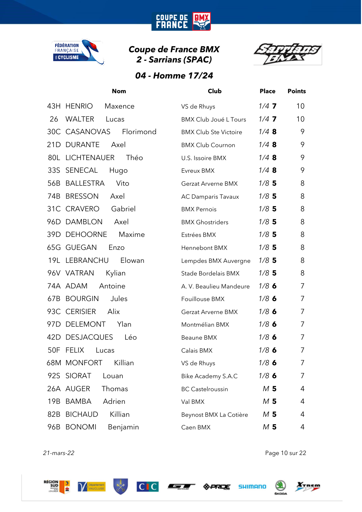

**COUPE DE<br>FRANCE** 

**BM** 



### *04 - Homme 17/24*

|     | <b>Nom</b>                        | Club                         | <b>Place</b>   | <b>Points</b> |
|-----|-----------------------------------|------------------------------|----------------|---------------|
|     | 43H HENRIO<br>Maxence             | VS de Rhuys                  | $1/4$ 7        | 10            |
| 26  | <b>WALTER</b><br>Lucas            | <b>BMX Club Joué L Tours</b> | $1/4$ 7        | 10            |
|     | <b>30C CASANOVAS</b><br>Florimond | <b>BMX Club Ste Victoire</b> | 1/48           | 9             |
|     | 21D DURANTE<br>Axel               | <b>BMX Club Cournon</b>      | 1/48           | 9             |
|     | 80L LICHTENAUER<br>Théo           | U.S. Issoire BMX             | 1/48           | 9             |
|     | 33S SENECAL<br>Hugo               | Evreux BMX                   | 1/48           | 9             |
| 56B | BALLESTRA<br>Vito                 | <b>Gerzat Arverne BMX</b>    | $1/8$ 5        | 8             |
|     | 74B BRESSON<br>Axel               | <b>AC Damparis Tavaux</b>    | $1/8$ 5        | 8             |
|     | 31C CRAVERO<br>Gabriel            | <b>BMX Pernois</b>           | $1/8$ 5        | 8             |
|     | 96D DAMBLON<br>Axel               | <b>BMX Ghostriders</b>       | $1/8$ 5        | 8             |
|     | 39D DEHOORNE<br>Maxime            | Estrées BMX                  | $1/8$ 5        | 8             |
|     | 65G GUEGAN<br>Enzo                | Hennebont BMX                | $1/8$ 5        | 8             |
|     | 19L LEBRANCHU<br>Elowan           | Lempdes BMX Auvergne         | $1/8$ 5        | 8             |
|     | 96V VATRAN<br>Kylian              | Stade Bordelais BMX          | $1/8$ 5        | 8             |
|     | 74A ADAM<br>Antoine               | A. V. Beaulieu Mandeure      | $1/8$ 6        | 7             |
|     | <b>67B BOURGIN</b><br>Jules       | Fouillouse BMX               | $1/8$ 6        | 7             |
|     | 93C CERISIER<br>Alix              | <b>Gerzat Arverne BMX</b>    | $1/8$ 6        | 7             |
|     | 97D DELEMONT<br>Ylan              | Montmélian BMX               | $1/8$ 6        | 7             |
|     | 42D DESJACQUES<br>Léo             | Beaune BMX                   | $1/8$ 6        | 7             |
|     | 50F FELIX<br>Lucas                | Calais BMX                   | $1/8$ 6        | 7             |
|     | 68M MONFORT Killian               | VS de Rhuys                  | $1/8$ 6        | 7             |
|     | 92S SIORAT<br>Louan               | Bike Academy S.A.C           | 1/86           | 7             |
|     | 26A AUGER<br>Thomas               | <b>BC Castelroussin</b>      | M <sub>5</sub> | 4             |
| 19B | BAMBA<br>Adrien                   | Val BMX                      | M <sub>5</sub> | 4             |
| 82B | Killian<br><b>BICHAUD</b>         | Beynost BMX La Cotière       | M <sub>5</sub> | 4             |
| 96B | <b>BONOMI</b><br>Benjamin         | Caen BMX                     | M <sub>5</sub> | 4             |

*21-mars-22* Page 10 sur 22











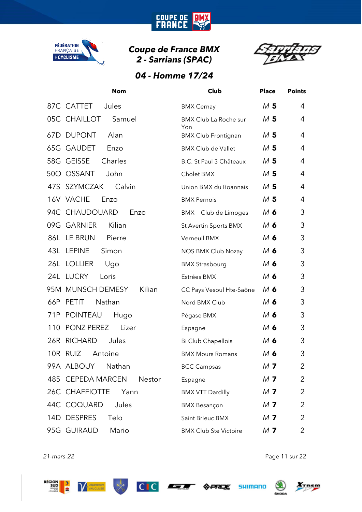

**COUPE DE<br>FRANCE** 

**BM** 



#### *04 - Homme 17/24*

|     | <b>Nom</b>                  | Club                         | <b>Place</b>   | <b>Points</b> |
|-----|-----------------------------|------------------------------|----------------|---------------|
|     | 87C CATTET<br>Jules         | <b>BMX Cernay</b>            | M <sub>5</sub> | 4             |
|     | 05C CHAILLOT<br>Samuel      | BMX Club La Roche sur<br>Yon | M <sub>5</sub> | 4             |
| 67D | <b>DUPONT</b><br>Alan       | <b>BMX Club Frontignan</b>   | M <sub>5</sub> | 4             |
|     | 65G GAUDET<br>Enzo          | <b>BMX Club de Vallet</b>    | M <sub>5</sub> | 4             |
|     | 58G GEISSE<br>Charles       | B.C. St Paul 3 Châteaux      | M 5            | 4             |
|     | 500 OSSANT<br>John          | Cholet BMX                   | M <sub>5</sub> | 4             |
| 47S | SZYMCZAK<br>Calvin          | Union BMX du Roannais        | M <sub>5</sub> | 4             |
|     | 16V VACHE<br>Enzo           | <b>BMX Pernois</b>           | M <sub>5</sub> | 4             |
|     | 94C CHAUDOUARD<br>Enzo      | BMX Club de Limoges          | M 6            | 3             |
|     | 09G GARNIER<br>Kilian       | St Avertin Sports BMX        | M 6            | 3             |
|     | 86L LE BRUN<br>Pierre       | Verneuil BMX                 | $M$ 6          | 3             |
|     | 43L LEPINE<br>Simon         | NOS BMX Club Nozay           | $M$ 6          | 3             |
|     | 26L LOLLIER<br>Ugo          | <b>BMX Strasbourg</b>        | $M$ 6          | 3             |
|     | 24L LUCRY<br>Loris          | Estrées BMX                  | $M$ 6          | 3             |
|     | 95M MUNSCH DEMESY<br>Kilian | CC Pays Vesoul Hte-Saône     | M 6            | 3             |
| 66P | Nathan<br><b>PETIT</b>      | Nord BMX Club                | $M$ 6          | 3             |
| 71P | POINTEAU<br>Hugo            | Pégase BMX                   | $M$ 6          | 3             |
| 110 | PONZ PEREZ<br>Lizer         | Espagne                      | $M$ 6          | 3             |
|     | 26R RICHARD<br>Jules        | Bi Club Chapellois           | M 6            | 3             |
| 10R | RUIZ<br>Antoine             | <b>BMX Mours Romans</b>      | M 6            | 3             |
|     | Nathan<br>99A ALBOUY        | <b>BCC Campsas</b>           | M <sub>7</sub> | 2             |
|     | 485 CEPEDA MARCEN<br>Nestor | Espagne                      | M <sub>7</sub> | 2             |
|     | 26C CHAFFIOTTE<br>Yann      | <b>BMX VTT Dardilly</b>      | M <sub>7</sub> | 2             |
|     | 44C COQUARD<br>Jules        | <b>BMX Besançon</b>          | M <sub>7</sub> | 2             |
|     | 14D DESPRES<br>Telo         | Saint Brieuc BMX             | M <sub>7</sub> | 2             |
|     | 95G GUIRAUD<br>Mario        | <b>BMX Club Ste Victoire</b> | M 7            | 2             |

*21-mars-22* Page 11 sur 22











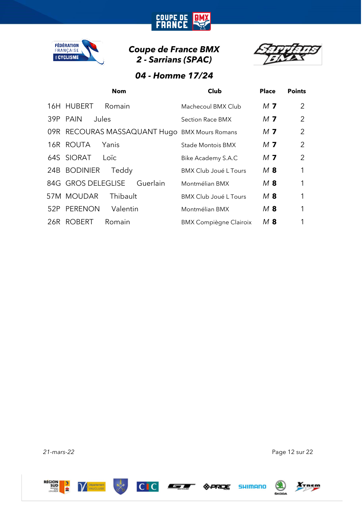





#### *04 - Homme 17/24*

|     | <b>Nom</b>                                    | Club                          | <b>Place</b>   | <b>Points</b>  |
|-----|-----------------------------------------------|-------------------------------|----------------|----------------|
|     | 16H HUBERT<br>Romain                          | Machecoul BMX Club            | M <sub>7</sub> | 2              |
|     | 39P PAIN<br>Jules                             | Section Race BMX              | M <sub>7</sub> | $\overline{2}$ |
|     | 09R RECOURAS MASSAQUANT Hugo BMX Mours Romans |                               | M <sub>7</sub> | 2              |
|     | 16R ROUTA<br>Yanis                            | Stade Montois BMX             | M 7            | $\overline{2}$ |
|     | 64S SIORAT<br>Loïc                            | Bike Academy S.A.C            | M <sub>7</sub> | $\overline{2}$ |
|     | 24B BODINIER<br>Teddy                         | BMX Club Joué L Tours         | $M$ 8          | 1              |
|     | 84G GROS DELEGLISE<br>Guerlain                | Montmélian BMX                | $M$ 8          | 1              |
|     | 57M MOUDAR<br>Thibault                        | BMX Club Joué L Tours         | $M$ 8          | 1              |
| 52P | <b>PERENON</b><br>Valentin                    | Montmélian BMX                | $M$ 8          | 1              |
|     | 26R ROBERT<br>Romain                          | <b>BMX Compiègne Clairoix</b> | $M$ 8          | 1              |

*21-mars-22* Page 12 sur 22











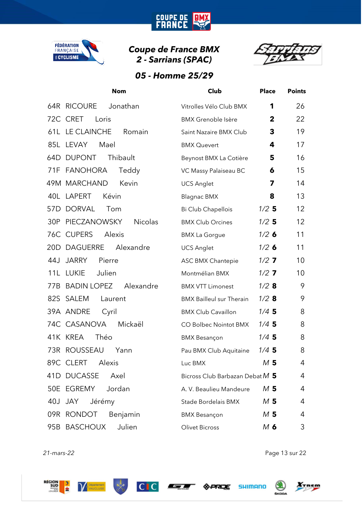

**COUPE DE<br>FRANCE** 

**BM** 



### *05 - Homme 25/29*

|     | <b>Nom</b>                     | Club                              | <b>Place</b>   | <b>Points</b>     |
|-----|--------------------------------|-----------------------------------|----------------|-------------------|
|     | <b>64R RICOURE</b><br>Jonathan | Vitrolles Vélo Club BMX           | 1              | 26                |
|     | 72C CRET<br>Loris              | <b>BMX Grenoble Isère</b>         | $\mathbf{2}$   | 22                |
|     | 61L LE CLAINCHE<br>Romain      | Saint Nazaire BMX Club            | 3              | 19                |
|     | 85L LEVAY<br>Mael              | <b>BMX Quevert</b>                | 4              | 17                |
|     | 64D DUPONT<br>Thibault         | Beynost BMX La Cotière            | 5              | 16                |
| 71F | FANOHORA<br>Teddy              | VC Massy Palaiseau BC             | 6              | 15                |
|     | 49M MARCHAND<br>Kevin          | <b>UCS Anglet</b>                 | 7              | 14                |
|     | 40L LAPERT<br>Kévin            | <b>Blagnac BMX</b>                | 8              | 13                |
|     | 57D DORVAL<br>Tom              | Bi Club Chapellois                | $1/2$ 5        | $12 \overline{ }$ |
| 30P | PIECZANOWSKY<br><b>Nicolas</b> | <b>BMX Club Orcines</b>           | $1/2$ 5        | 12                |
|     | 76C CUPERS<br>Alexis           | <b>BMX La Gorgue</b>              | $1/2$ 6        | 11                |
|     | 20D DAGUERRE<br>Alexandre      | <b>UCS Anglet</b>                 | $1/2$ 6        | 11                |
| 44J | JARRY<br>Pierre                | <b>ASC BMX Chantepie</b>          | $1/2$ 7        | 10                |
| 11L | LUKIE<br>Julien                | Montmélian BMX                    | $1/2$ 7        | 10                |
|     | 77B BADIN LOPEZ<br>Alexandre   | <b>BMX VTT Limonest</b>           | $1/2$ 8        | 9                 |
|     | 82S SALEM<br>Laurent           | <b>BMX Bailleul sur Therain</b>   | $1/2$ 8        | 9                 |
|     | 39A ANDRE<br>Cyril             | <b>BMX Club Cavaillon</b>         | $1/4$ 5        | 8                 |
|     | 74C CASANOVA<br>Mickaël        | CO Bolbec Nointot BMX             | $1/4$ 5        | 8                 |
|     | 41K KREA<br>Théo               | <b>BMX Besançon</b>               | $1/4$ 5        | 8                 |
|     | 73R ROUSSEAU<br>Yann           | Pau BMX Club Aquitaine            | $1/4$ 5        | 8                 |
|     | 89C CLERT Alexis               | Luc BMX                           | M <sub>5</sub> | 4                 |
|     | 41D DUCASSE<br>Axel            | Bicross Club Barbazan Debat $M$ 5 |                | 4                 |
|     | 50E EGREMY<br>Jordan           | A. V. Beaulieu Mandeure           | M <sub>5</sub> | 4                 |
| 40J | JAY<br>Jérémy                  | Stade Bordelais BMX               | M <sub>5</sub> | 4                 |
|     | 09R RONDOT<br>Benjamin         | <b>BMX Besançon</b>               | M <sub>5</sub> | 4                 |
|     | 95B BASCHOUX<br>Julien         | <b>Olivet Bicross</b>             | M <sub>6</sub> | 3                 |

*21-mars-22* Page 13 sur 22

**RÉGION**<br>SUD<br>CONSIDERED Ŀ









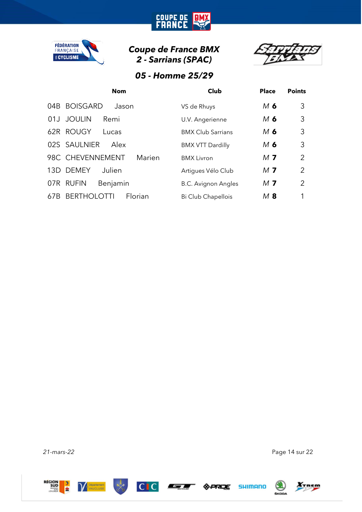





#### *05 - Homme 25/29*

| <b>Nom</b>                           | Club                        | <b>Place</b>   | <b>Points</b>  |
|--------------------------------------|-----------------------------|----------------|----------------|
| <b>BOISGARD</b><br>04B<br>Jason      | VS de Rhuys                 | M 6            | 3              |
| <b>JOULIN</b><br>Remi<br>01J         | U.V. Angerienne             | $M$ 6          | 3              |
| 62R ROUGY<br>Lucas                   | <b>BMX Club Sarrians</b>    | $M$ 6          | 3              |
| 02S SAULNIER<br>Alex                 | <b>BMX VTT Dardilly</b>     | $M$ 6          | 3              |
| 98C CHEVENNEMENT                     | Marien<br><b>BMX</b> Livron | M <sub>7</sub> | $\overline{2}$ |
| <b>DEMEY</b><br>Julien<br>13D        | Artigues Vélo Club          | M <sub>7</sub> | $\overline{2}$ |
| <b>RUFIN</b><br>Benjamin<br>07R      | <b>B.C. Avignon Angles</b>  | M <sub>7</sub> | 2              |
| Florian<br><b>BERTHOLOTTI</b><br>67B | <b>Bi Club Chapellois</b>   | $M$ 8          | 1              |

*21-mars-22* Page 14 sur 22

 $\bigcirc$ 









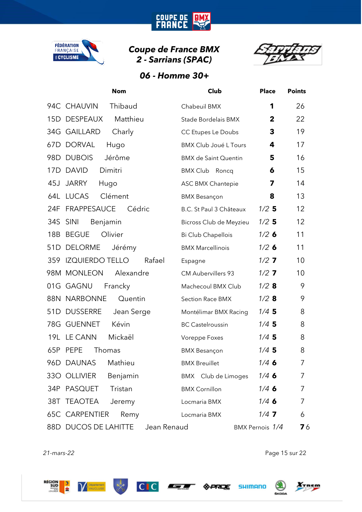

**COUPE DE<br>FRANCE** 

**BM** 



#### *06 - Homme 30+*

|                 | <b>Nom</b>                          | Club                         | <b>Place</b>    | <b>Points</b> |
|-----------------|-------------------------------------|------------------------------|-----------------|---------------|
| 94C             | Thibaud<br><b>CHAUVIN</b>           | Chabeuil BMX                 | 1               | 26            |
|                 | 15D DESPEAUX<br>Matthieu            | Stade Bordelais BMX          | $\mathbf{2}$    | 22            |
|                 | 34G GAILLARD<br>Charly              | CC Etupes Le Doubs           | 3               | 19            |
| 67D             | <b>DORVAL</b><br>Hugo               | <b>BMX Club Joué L Tours</b> | 4               | 17            |
| 98 <sub>D</sub> | <b>DUBOIS</b><br>Jérôme             | <b>BMX</b> de Saint Quentin  | 5               | 16            |
| 17D             | <b>DAVID</b><br>Dimitri             | BMX Club Roncq               | 6               | 15            |
| 45J             | JARRY<br>Hugo                       | <b>ASC BMX Chantepie</b>     | 7               | 14            |
|                 | 64L LUCAS<br>Clément                | <b>BMX Besançon</b>          | 8               | 13            |
|                 | 24F FRAPPESAUCE<br>Cédric           | B.C. St Paul 3 Châteaux      | $1/2$ 5         | 12            |
| 34S             | SINI<br>Benjamin                    | Bicross Club de Meyzieu      | $1/2$ 5         | 12            |
| 18B             | <b>BEGUE</b><br>Olivier             | Bi Club Chapellois           | $1/2$ 6         | 11            |
|                 | 51D DELORME<br>Jérémy               | <b>BMX Marcellinois</b>      | $1/2$ 6         | 11            |
|                 | 359 IZQUIERDO TELLO<br>Rafael       | Espagne                      | $1/2$ 7         | 10            |
|                 | 98M MONLEON<br>Alexandre            | <b>CM Aubervillers 93</b>    | $1/2$ 7         | 10            |
|                 | 01G GAGNU<br>Francky                | Machecoul BMX Club           | $1/2$ 8         | 9             |
|                 | 88N NARBONNE<br>Quentin             | <b>Section Race BMX</b>      | $1/2$ 8         | 9             |
| 51D             | <b>DUSSERRE</b><br>Jean Serge       | Montélimar BMX Racing        | $1/4$ 5         | 8             |
|                 | 78G GUENNET<br>Kévin                | <b>BC Castelroussin</b>      | $1/4$ 5         | 8             |
| 19L             | LE CANN<br>Mickaël                  | Voreppe Foxes                | $1/4$ 5         | 8             |
|                 | 65P PEPE<br>Thomas                  | <b>BMX Besançon</b>          | $1/4$ 5         | 8             |
|                 | 96D DAUNAS Mathieu                  | <b>BMX Breuillet</b>         | 1/46            | 7             |
|                 | 330 OLLIVIER<br>Benjamin            | BMX Club de Limoges          | 1/46            | 7             |
|                 | 34P PASQUET<br>Tristan              | <b>BMX Cornillon</b>         | 1/46            | 7             |
|                 | 38T TEAOTEA<br>Jeremy               | Locmaria BMX                 | 1/46            | 7             |
|                 | <b>65C CARPENTIER</b><br>Remy       | Locmaria BMX                 | $1/4$ 7         | 6             |
|                 | 88D DUCOS DE LAHITTE<br>Jean Renaud |                              | BMX Pernois 1/4 | 76            |

*21-mars-22* Page 15 sur 22











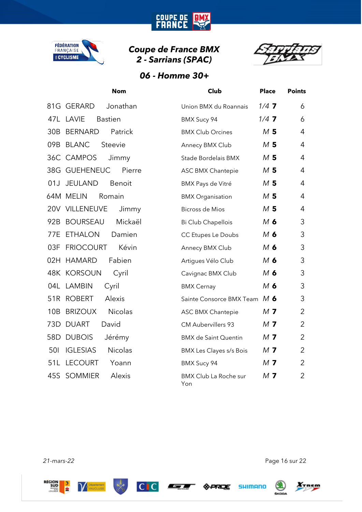

**COUPE DE<br>FRANCE** 



#### *06 - Homme 30+*

|                 | <b>Nom</b>                        | Club                                | <b>Place</b>   | <b>Points</b>  |
|-----------------|-----------------------------------|-------------------------------------|----------------|----------------|
|                 | 81G GERARD<br>Jonathan            | Union BMX du Roannais               | $1/4$ 7        | 6              |
|                 | 47L LAVIE<br><b>Bastien</b>       | BMX Sucy 94                         | $1/4$ 7        | 6              |
| 30 <sub>B</sub> | <b>BERNARD</b><br>Patrick         | <b>BMX Club Orcines</b>             | M <sub>5</sub> | 4              |
| 09B             | <b>BLANC</b><br><b>Steevie</b>    | Annecy BMX Club                     | M <sub>5</sub> | 4              |
|                 | 36C CAMPOS<br>Jimmy               | Stade Bordelais BMX                 | M <sub>5</sub> | 4              |
|                 | 38G GUEHENEUC<br>Pierre           | <b>ASC BMX Chantepie</b>            | M <sub>5</sub> | 4              |
| 01J             | <b>JEULAND</b><br>Benoit          | <b>BMX Pays de Vitré</b>            | M <sub>5</sub> | 4              |
|                 | 64M MELIN<br>Romain               | <b>BMX Organisation</b>             | M <sub>5</sub> | 4              |
|                 | 20V VILLENEUVE<br>Jimmy           | <b>Bicross de Mios</b>              | M <sub>5</sub> | 4              |
| 92B             | Mickaël<br><b>BOURSEAU</b>        | Bi Club Chapellois                  | M 6            | 3              |
| 77E             | <b>ETHALON</b><br>Damien          | CC Etupes Le Doubs                  | M <sub>6</sub> | 3              |
| 03F             | <b>FRIOCOURT</b><br>Kévin         | Annecy BMX Club                     | $M$ 6          | 3              |
|                 | 02H HAMARD<br>Fabien              | Artigues Vélo Club                  | $M$ 6          | 3              |
|                 | <b>48K KORSOUN</b><br>Cyril       | Cavignac BMX Club                   | $M$ 6          | 3              |
| 04L             | LAMBIN<br>Cyril                   | <b>BMX Cernay</b>                   | $M$ 6          | 3              |
| 51R             | <b>ROBERT</b><br>Alexis           | Sainte Consorce BMX Team M 6        |                | 3              |
| 10B             | <b>BRIZOUX</b><br><b>Nicolas</b>  | <b>ASC BMX Chantepie</b>            | M <sub>7</sub> | $\overline{2}$ |
| 73D             | <b>DUART</b><br>David             | <b>CM Aubervillers 93</b>           | M <sub>7</sub> | 2              |
| 58 <sub>D</sub> | <b>DUBOIS</b><br>Jérémy           | <b>BMX</b> de Saint Quentin         | M <sub>7</sub> | $\overline{2}$ |
| 501             | <b>IGLESIAS</b><br><b>Nicolas</b> | <b>BMX Les Clayes s/s Bois</b>      | M <sub>7</sub> | $\overline{2}$ |
| 51L             | <b>LECOURT</b><br>Yoann           | BMX Sucy 94                         | M <sub>7</sub> | $\overline{2}$ |
| 45S             | <b>SOMMIER</b><br>Alexis          | <b>BMX Club La Roche sur</b><br>Yon | M <sub>7</sub> | $\overline{2}$ |













*21-mars-22* Page 16 sur 22

 $\bigcirc$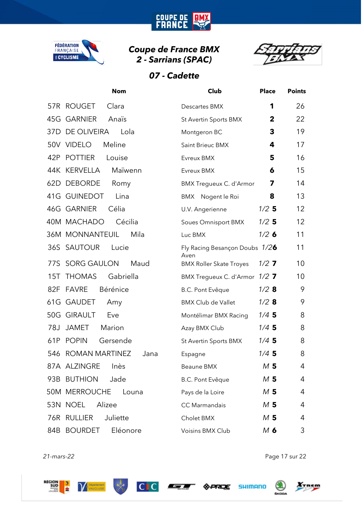

**COUPE DE<br>FRANCE** 

**BM** 



#### *07 - Cadette*

|     | <b>Nom</b>                      | Club                                   | <b>Place</b>   | <b>Points</b>   |
|-----|---------------------------------|----------------------------------------|----------------|-----------------|
| 57R | <b>ROUGET</b><br>Clara          | Descartes BMX                          | 1              | 26              |
| 45G | <b>GARNIER</b><br>Anaïs         | St Avertin Sports BMX                  | $\mathbf{2}$   | 22              |
| 37D | <b>DE OLIVEIRA</b><br>Lola      | Montgeron BC                           | 3              | 19              |
|     | 50V VIDELO<br>Meline            | Saint Brieuc BMX                       | 4              | 17              |
| 42P | <b>POTTIER</b><br>Louise        | Evreux BMX                             | 5              | 16              |
|     | 44K KERVELLA<br>Maïwenn         | Evreux BMX                             | 6              | 15              |
| 62D | <b>DEBORDE</b><br>Romy          | <b>BMX Tregueux C. d'Armor</b>         | 7              | 14              |
|     | 41G GUINEDOT<br>Lina            | BMX<br>Nogent le Roi                   | 8              | 13              |
|     | 46G GARNIER<br>Célia            | U.V. Angerienne                        | $1/2$ 5        | 12 <sup>2</sup> |
|     | 40M MACHADO<br>Cécilia          | <b>Soues Omnisport BMX</b>             | $1/2$ 5        | 12 <sup>2</sup> |
|     | <b>36M MONNANTEUIL</b><br>Mila  | Luc BMX                                | $1/2$ 6        | 11              |
|     | 36S SAUTOUR<br>Lucie            | Fly Racing Besançon Doubs 1/26<br>Aven |                | 11              |
| 77S | <b>SORG GAULON</b><br>Maud      | <b>BMX Roller Skate Troyes</b>         | $1/2$ 7        | 10              |
| 15T | <b>THOMAS</b><br>Gabriella      | BMX Tregueux C. d'Armor 1/2 7          |                | 10              |
| 82F | <b>FAVRE</b><br><b>Bérénice</b> | <b>B.C. Pont Evêque</b>                | $1/2$ 8        | 9               |
| 61G | <b>GAUDET</b><br>Amy            | <b>BMX Club de Vallet</b>              | $1/2$ 8        | 9               |
| 50G | GIRAULT<br>Eve                  | Montélimar BMX Racing                  | $1/4$ 5        | 8               |
| 78J | Marion<br><b>JAMET</b>          | Azay BMX Club                          | $1/4$ 5        | 8               |
| 61P | <b>POPIN</b><br>Gersende        | St Avertin Sports BMX                  | $1/4$ 5        | 8               |
| 546 | <b>ROMAN MARTINEZ</b><br>Jana   | Espagne                                | $1/4$ 5        | 8               |
|     | 87A ALZINGRE<br>Inès            | <b>Beaune BMX</b>                      | M 5            | 4               |
|     | 93B BUTHION<br>Jade             | <b>B.C. Pont Evêque</b>                | M <sub>5</sub> | 4               |
|     | <b>50M MERROUCHE</b><br>Louna   | Pays de la Loire                       | M <sub>5</sub> | 4               |
|     | 53N NOEL<br>Alizee              | <b>CC</b> Marmandais                   | M <sub>5</sub> | 4               |
|     | 76R RULLIER<br>Juliette         | Cholet BMX                             | M <sub>5</sub> | 4               |
|     | 84B BOURDET<br>Eléonore         | Voisins BMX Club                       | $M$ 6          | 3               |

*21-mars-22* Page 17 sur 22

**RÉGION**<br>SUD<br>CONSIDERED Ŀ









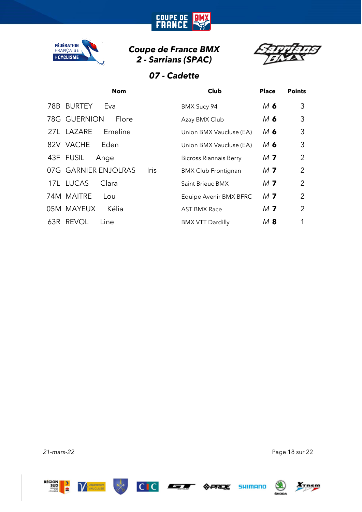

**COUPE DE<br>FRANCE** 

**BM** 



#### *07 - Cadette*

|     | <b>Nom</b>            |      | Club                          | <b>Place</b>   | <b>Points</b> |
|-----|-----------------------|------|-------------------------------|----------------|---------------|
| 78B | <b>BURTEY</b><br>Eva  |      | BMX Sucy 94                   | M 6            | 3             |
|     | 78G GUERNION<br>Flore |      | Azay BMX Club                 | M 6            | 3             |
|     | 27L LAZARE<br>Emeline |      | Union BMX Vaucluse (EA)       | M 6            | 3             |
|     | 82V VACHE<br>Eden     |      | Union BMX Vaucluse (EA)       | M 6            | 3             |
|     | 43F FUSIL<br>Ange     |      | <b>Bicross Riannais Berry</b> | M <sub>7</sub> | 2             |
|     | 07G GARNIER ENJOLRAS  | Iris | <b>BMX Club Frontignan</b>    | M <sub>7</sub> | 2             |
|     | 17L LUCAS<br>Clara    |      | <b>Saint Brieuc BMX</b>       | M <sub>7</sub> | 2             |
|     | 74M MAITRE<br>Lou     |      | Equipe Avenir BMX BFRC        | M <sub>7</sub> | 2             |
|     | Kélia<br>05M MAYEUX   |      | <b>AST BMX Race</b>           | M <sub>7</sub> | 2             |
|     | 63R REVOL<br>Line     |      | <b>BMX VTT Dardilly</b>       | $M$ 8          |               |

*21-mars-22* Page 18 sur 22











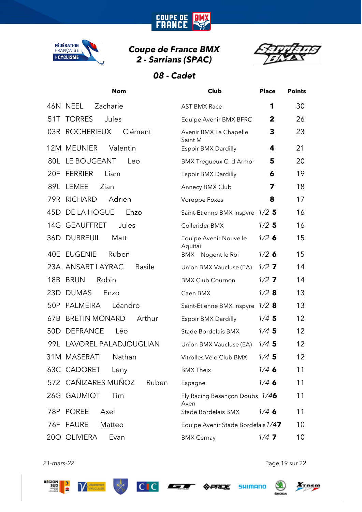

**COUPE DE<br>FRANCE** 

**BM** 



# *08 - Cadet*

|                 | <b>Nom</b>                         | Club                                   | <b>Place</b> | <b>Points</b>     |
|-----------------|------------------------------------|----------------------------------------|--------------|-------------------|
|                 | 46N NEEL<br>Zacharie               | <b>AST BMX Race</b>                    | 1            | 30                |
| 51T             | <b>TORRES</b><br>Jules             | Equipe Avenir BMX BFRC                 | $\mathbf{2}$ | 26                |
|                 | 03R ROCHERIEUX<br>Clément          | Avenir BMX La Chapelle<br>Saint M      | 3            | 23                |
|                 | Valentin<br>12M MEUNIER            | Espoir BMX Dardilly                    | 4            | 21                |
|                 | 80L LE BOUGEANT<br>Leo             | <b>BMX Tregueux C. d'Armor</b>         | 5            | 20                |
| 20F             | FERRIER<br>Liam                    | Espoir BMX Dardilly                    | 6            | 19                |
| 89L             | LEMEE<br>Zian                      | Annecy BMX Club                        | 7            | 18                |
|                 | 79R RICHARD<br>Adrien              | Voreppe Foxes                          | 8            | 17                |
|                 | 45D DE LA HOGUE<br>Enzo            | Saint-Etienne BMX Inspyre 1/2 5        |              | 16                |
|                 | 14G GEAUFFRET<br>Jules             | Collerider BMX                         | $1/2$ 5      | 16                |
|                 | 36D DUBREUIL<br>Matt               | Equipe Avenir Nouvelle<br>Aquitai      | $1/2$ 6      | 15                |
|                 | 40E EUGENIE<br>Ruben               | BMX Nogent le Roi                      | $1/2$ 6      | 15                |
|                 | 23A ANSART LAYRAC<br><b>Basile</b> | Union BMX Vaucluse (EA)                | $1/2$ 7      | 14                |
| 18B             | <b>BRUN</b><br>Robin               | <b>BMX Club Cournon</b>                | $1/2$ 7      | 14                |
| 23D             | <b>DUMAS</b><br>Enzo               | Caen BMX                               | $1/2$ 8      | 13                |
| 50P             | PALMEIRA<br>Léandro                | Saint-Etienne BMX Inspyre 1/2 8        |              | 13                |
| 67B             | <b>BRETIN MONARD</b><br>Arthur     | Espoir BMX Dardilly                    | $1/4$ 5      | $12 \overline{ }$ |
| 50 <sub>D</sub> | <b>DEFRANCE</b><br>Léo             | Stade Bordelais BMX                    | $1/4$ 5      | 12                |
|                 | 99L LAVOREL PALADJOUGLIAN          | Union BMX Vaucluse (EA)                | $1/4$ 5      | $12 \overline{ }$ |
|                 | 31M MASERATI<br>Nathan             | Vitrolles Vélo Club BMX                | $1/4$ 5      | 12                |
|                 | 63C CADORET<br>Leny                | <b>BMX Theix</b>                       | 1/46         | 11                |
|                 | 572 CAÑIZARES MUÑOZ<br>Ruben       | Espagne                                | $1/4$ 6      | 11                |
|                 | 26G GAUMIOT<br>Tim                 | Fly Racing Besançon Doubs 1/46<br>Aven |              | 11                |
| 78P             | <b>POREE</b><br>Axel               | Stade Bordelais BMX                    | $1/4$ 6      | 11                |
| 76F             | <b>FAURE</b><br>Matteo             | Equipe Avenir Stade Bordelais 1/47     |              | 10                |
|                 | 200 OLIVIERA<br>Evan               | <b>BMX Cernay</b>                      | $1/4$ 7      | 10                |

*21-mars-22* Page 19 sur 22











**SHIMANO** 

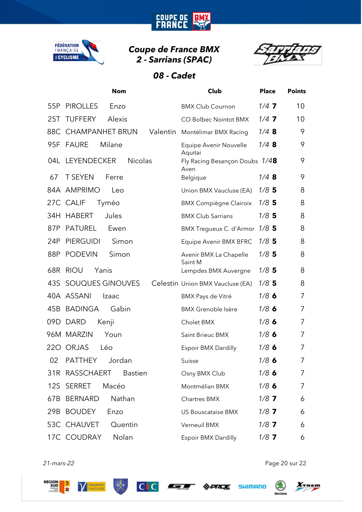





# *08 - Cadet*

|                 | <b>Nom</b>                        | Club                                              | <b>Place</b> | <b>Points</b> |
|-----------------|-----------------------------------|---------------------------------------------------|--------------|---------------|
| 55P             | <b>PIROLLES</b><br>Enzo           | <b>BMX Club Cournon</b>                           | $1/4$ 7      | 10            |
|                 | 25T TUFFERY<br>Alexis             | <b>CO Bolbec Nointot BMX</b>                      | $1/4$ 7      | 10            |
|                 | 88C CHAMPANHET BRUN<br>Valentin   | Montélimar BMX Racing                             | $1/4$ 8      | 9             |
| 95F             | FAURE<br>Milane                   | Equipe Avenir Nouvelle                            | $1/4$ 8      | 9             |
|                 | 04L LEYENDECKER<br><b>Nicolas</b> | Aquitai<br>Fly Racing Besançon Doubs 1/48<br>Aven |              | 9             |
| 67              | <b>T SEYEN</b><br>Ferre           | Belgique                                          | 1/48         | 9             |
|                 | 84A AMPRIMO<br>Leo                | Union BMX Vaucluse (EA)                           | $1/8$ 5      | 8             |
|                 | 27C CALIF<br>Tyméo                | <b>BMX Compiègne Clairoix</b>                     | $1/8$ 5      | 8             |
| 34H             | Jules<br><b>HABERT</b>            | <b>BMX Club Sarrians</b>                          | $1/8$ 5      | 8             |
| 87P             | <b>PATUREL</b><br>Ewen            | BMX Tregueux C. d'Armor 1/8 5                     |              | 8             |
| 24P             | <b>PIERGUIDI</b><br>Simon         | Equipe Avenir BMX BFRC                            | $1/8$ 5      | 8             |
| 88P             | <b>PODEVIN</b><br>Simon           | Avenir BMX La Chapelle<br>Saint M                 | $1/8$ 5      | 8             |
| 68R             | <b>RIOU</b><br>Yanis              | Lempdes BMX Auvergne                              | $1/8$ 5      | 8             |
| 43S             | SOUQUES GINOUVES                  | Celestin Union BMX Vaucluse (EA)                  | $1/8$ 5      | 8             |
|                 | 40A ASSANI<br>Izaac               | BMX Pays de Vitré                                 | 1/86         | 7             |
| 45B             | BADINGA<br>Gabin                  | <b>BMX Grenoble Isère</b>                         | 1/86         | 7             |
|                 | 09D DARD<br>Kenji                 | Cholet BMX                                        | $1/8$ 6      | 7             |
|                 | 96M MARZIN<br>Youn                | <b>Saint Brieuc BMX</b>                           | 1/86         | 7             |
|                 | 220 ORJAS<br>Léo                  | Espoir BMX Dardilly                               | $1/8$ 6      | 7             |
| 02 <sup>1</sup> | PATTHEY Jordan                    | Suisse                                            | $1/8$ 6      | 7             |
|                 | 31R RASSCHAERT<br>Bastien         | Osny BMX Club                                     | $1/8$ 6      | 7             |
|                 | 12S SERRET<br>Macéo               | Montmélian BMX                                    | $1/8$ 6      | 7             |
| 67B             | <b>BERNARD</b><br>Nathan          | Chartres BMX                                      | $1/8$ 7      | 6             |
|                 | 29B BOUDEY<br>Enzo                | <b>US Bouscataise BMX</b>                         | $1/8$ 7      | 6             |
|                 | 53C CHAUVET<br>Quentin            | Verneuil BMX                                      | $1/8$ 7      | 6             |
|                 | 17C COUDRAY<br>Nolan              | Espoir BMX Dardilly                               | $1/8$ 7      | 6             |

*21-mars-22* Page 20 sur 22











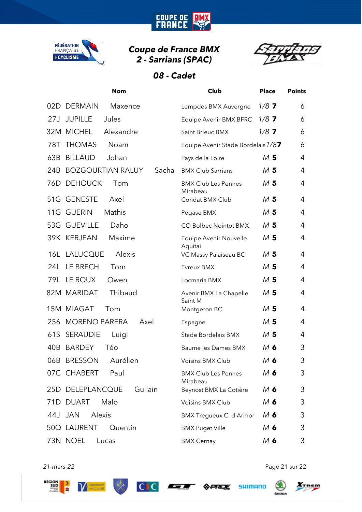

**COUPE DE<br>FRANCE** 

**BM** 



# *08 - Cadet*

| <b>Nom</b>                          |       | Club                                   | <b>Place</b>   | <b>Points</b> |
|-------------------------------------|-------|----------------------------------------|----------------|---------------|
| <b>DERMAIN</b><br>02D<br>Maxence    |       | Lempdes BMX Auvergne                   | $1/8$ 7        | 6             |
| <b>JUPILLE</b><br>Jules<br>27J      |       | Equipe Avenir BMX BFRC                 | $1/8$ 7        | 6             |
| 32M MICHEL<br>Alexandre             |       | Saint Brieuc BMX                       | $1/8$ 7        | 6             |
| <b>THOMAS</b><br>78T<br>Noam        |       | Equipe Avenir Stade Bordelais 1/87     |                | 6             |
| 63B<br><b>BILLAUD</b><br>Johan      |       | Pays de la Loire                       | M <sub>5</sub> | 4             |
| <b>BOZGOURTIAN RALUY</b><br>24B     | Sacha | <b>BMX Club Sarrians</b>               | M <sub>5</sub> | 4             |
| <b>DEHOUCK</b><br>76D<br>Tom        |       | <b>BMX Club Les Pennes</b><br>Mirabeau | M <sub>5</sub> | 4             |
| <b>GENESTE</b><br>51G<br>Axel       |       | Condat BMX Club                        | M <sub>5</sub> | 4             |
| Mathis<br><b>GUERIN</b><br>11G      |       | Pégase BMX                             | M <sub>5</sub> | 4             |
| 53G GUEVILLE<br>Daho                |       | <b>CO Bolbec Nointot BMX</b>           | M <sub>5</sub> | 4             |
| 39K KERJEAN<br>Maxime               |       | Equipe Avenir Nouvelle                 | M <sub>5</sub> | 4             |
| 16L LALUCQUE<br>Alexis              |       | Aquitai<br>VC Massy Palaiseau BC       | M <sub>5</sub> | 4             |
| 24L LE BRECH<br>Tom                 |       | Evreux BMX                             | M <sub>5</sub> | 4             |
| 79L LE ROUX<br>Owen                 |       | Locmaria BMX                           | M <sub>5</sub> | 4             |
| Thibaud<br>82M MARIDAT              |       | Avenir BMX La Chapelle<br>Saint M      | M <sub>5</sub> | 4             |
| 15M MIAGAT<br>Tom                   |       | Montgeron BC                           | M <sub>5</sub> | 4             |
| <b>MORENO PARERA</b><br>256<br>Axel |       | Espagne                                | M <sub>5</sub> | 4             |
| SERAUDIE<br>61S<br>Luigi            |       | Stade Bordelais BMX                    | M <sub>5</sub> | 4             |
| <b>BARDEY</b><br>40B<br>Téo         |       | Baume les Dames BMX                    | $M$ 6          | 3             |
| 06B BRESSON Aurélien                |       | Voisins BMX Club                       | M 6            | 3             |
| 07C CHABERT Paul                    |       | <b>BMX Club Les Pennes</b><br>Mirabeau | $M$ 6          | 3             |
| 25D DELEPLANCQUE<br>Guilain         |       | Beynost BMX La Cotière                 | M 6            | 3             |
| 71D DUART<br>Malo                   |       | Voisins BMX Club                       | M 6            | 3             |
| 44J JAN<br>Alexis                   |       | BMX Tregueux C. d'Armor                | M 6            | 3             |
| 50Q LAURENT<br>Quentin              |       | <b>BMX Puget Ville</b>                 | M 6            | 3             |
| 73N NOEL Lucas                      |       | <b>BMX Cernay</b>                      | M 6            | 3             |

*21-mars-22* Page 21 sur 22



**V** Département